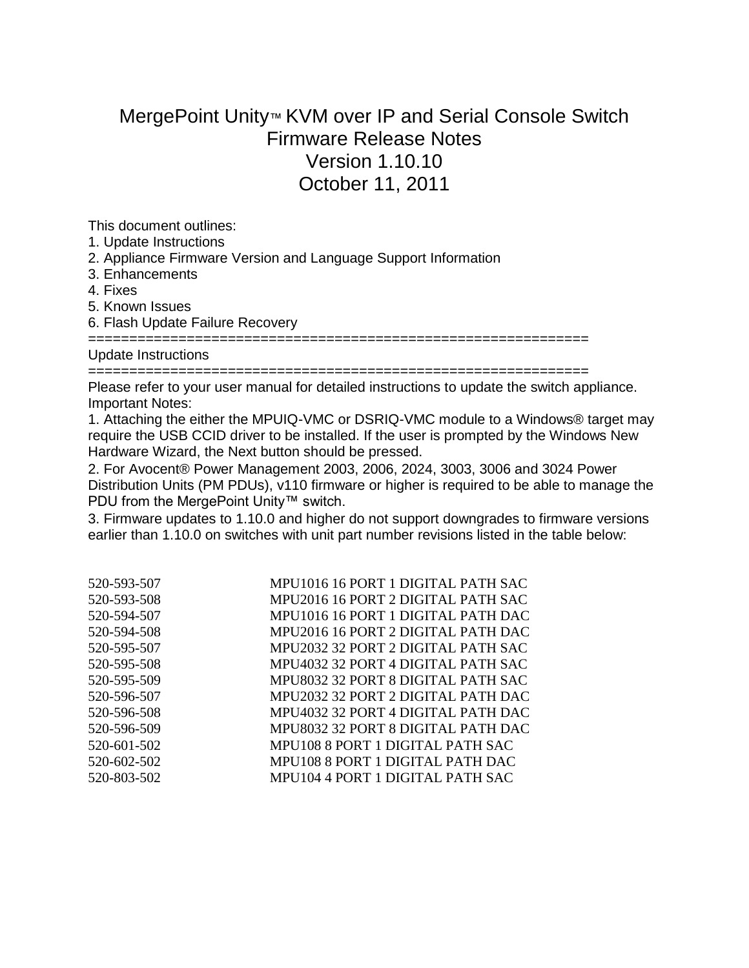## MergePoint Unity™ KVM over IP and Serial Console Switch Firmware Release Notes Version 1.10.10 October 11, 2011

This document outlines:

- 1. Update Instructions
- 2. Appliance Firmware Version and Language Support Information
- 3. Enhancements
- 4. Fixes
- 5. Known Issues
- 6. Flash Update Failure Recovery

=============================================================

Update Instructions

=============================================================

Please refer to your user manual for detailed instructions to update the switch appliance. Important Notes:

1. Attaching the either the MPUIQ-VMC or DSRIQ-VMC module to a Windows® target may require the USB CCID driver to be installed. If the user is prompted by the Windows New Hardware Wizard, the Next button should be pressed.

2. For Avocent® Power Management 2003, 2006, 2024, 3003, 3006 and 3024 Power Distribution Units (PM PDUs), v110 firmware or higher is required to be able to manage the PDU from the MergePoint Unity™ switch.

3. Firmware updates to 1.10.0 and higher do not support downgrades to firmware versions earlier than 1.10.0 on switches with unit part number revisions listed in the table below:

| MPU1016 16 PORT 1 DIGITAL PATH SAC |
|------------------------------------|
| MPU2016 16 PORT 2 DIGITAL PATH SAC |
| MPU1016 16 PORT 1 DIGITAL PATH DAC |
| MPU2016 16 PORT 2 DIGITAL PATH DAC |
| MPU2032 32 PORT 2 DIGITAL PATH SAC |
| MPU4032 32 PORT 4 DIGITAL PATH SAC |
| MPU8032 32 PORT 8 DIGITAL PATH SAC |
| MPU2032 32 PORT 2 DIGITAL PATH DAC |
| MPU4032 32 PORT 4 DIGITAL PATH DAC |
| MPU8032 32 PORT 8 DIGITAL PATH DAC |
| MPU108 8 PORT 1 DIGITAL PATH SAC   |
| MPU108 8 PORT 1 DIGITAL PATH DAC   |
| MPU104 4 PORT 1 DIGITAL PATH SAC   |
|                                    |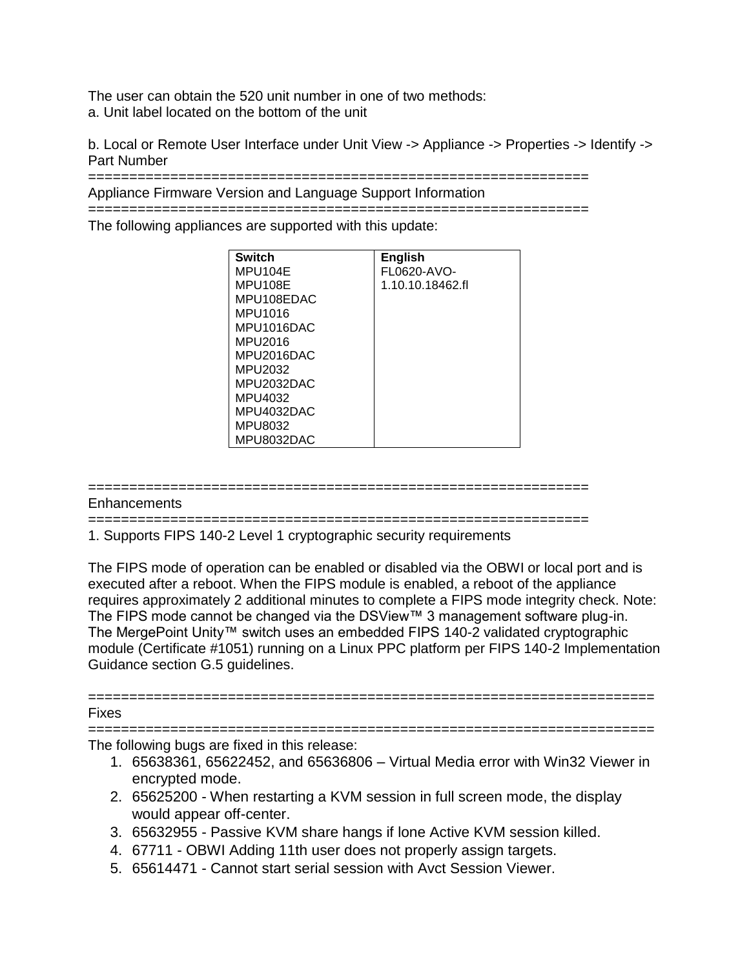The user can obtain the 520 unit number in one of two methods: a. Unit label located on the bottom of the unit

b. Local or Remote User Interface under Unit View -> Appliance -> Properties -> Identify -> Part Number

=============================================================

Appliance Firmware Version and Language Support Information

=============================================================

The following appliances are supported with this update:

| <b>Switch</b> | <b>English</b>   |
|---------------|------------------|
| MPU104E       | FL0620-AVO-      |
| MPU108E       | 1.10.10.18462.fl |
| MPU108EDAC    |                  |
| MPU1016       |                  |
| MPU1016DAC    |                  |
| MPU2016       |                  |
| MPU2016DAC    |                  |
| MPU2032       |                  |
| MPU2032DAC    |                  |
| MPU4032       |                  |
| MPU4032DAC    |                  |
| MPU8032       |                  |
| MPU8032DAC    |                  |

=============================================================

## Enhancements

=============================================================

1. Supports FIPS 140-2 Level 1 cryptographic security requirements

The FIPS mode of operation can be enabled or disabled via the OBWI or local port and is executed after a reboot. When the FIPS module is enabled, a reboot of the appliance requires approximately 2 additional minutes to complete a FIPS mode integrity check. Note: The FIPS mode cannot be changed via the DSView™ 3 management software plug-in. The MergePoint Unity™ switch uses an embedded FIPS 140-2 validated cryptographic module (Certificate #1051) running on a Linux PPC platform per FIPS 140-2 Implementation Guidance section G.5 guidelines.

## ===================================================================== Fixes

===================================================================== The following bugs are fixed in this release:

- 1. 65638361, 65622452, and 65636806 Virtual Media error with Win32 Viewer in encrypted mode.
- 2. 65625200 When restarting a KVM session in full screen mode, the display would appear off-center.
- 3. 65632955 Passive KVM share hangs if lone Active KVM session killed.
- 4. 67711 OBWI Adding 11th user does not properly assign targets.
- 5. 65614471 Cannot start serial session with Avct Session Viewer.